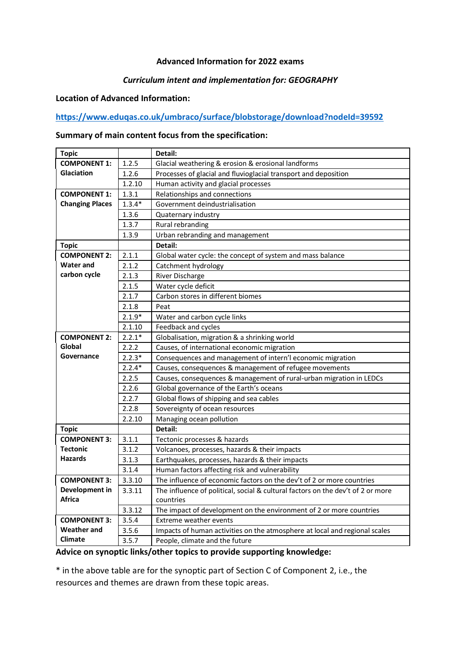### **Advanced Information for 2022 exams**

### *Curriculum intent and implementation for: GEOGRAPHY*

## **Location of Advanced Information:**

## **<https://www.eduqas.co.uk/umbraco/surface/blobstorage/download?nodeId=39592>**

#### **Summary of main content focus from the specification:**

| <b>Topic</b>                                                                    |                                                                                     | Detail:                                                                         |  |  |
|---------------------------------------------------------------------------------|-------------------------------------------------------------------------------------|---------------------------------------------------------------------------------|--|--|
| <b>COMPONENT 1:</b>                                                             | 1.2.5                                                                               | Glacial weathering & erosion & erosional landforms                              |  |  |
| Glaciation                                                                      | 1.2.6                                                                               | Processes of glacial and fluvioglacial transport and deposition                 |  |  |
|                                                                                 | 1.2.10                                                                              | Human activity and glacial processes                                            |  |  |
| <b>COMPONENT 1:</b>                                                             | 1.3.1                                                                               | Relationships and connections                                                   |  |  |
| <b>Changing Places</b>                                                          | $1.3.4*$                                                                            | Government deindustrialisation                                                  |  |  |
|                                                                                 | 1.3.6                                                                               | Quaternary industry                                                             |  |  |
|                                                                                 | 1.3.7                                                                               | Rural rebranding                                                                |  |  |
|                                                                                 | 1.3.9                                                                               | Urban rebranding and management                                                 |  |  |
| <b>Topic</b>                                                                    |                                                                                     | Detail:                                                                         |  |  |
| <b>COMPONENT 2:</b>                                                             | 2.1.1                                                                               | Global water cycle: the concept of system and mass balance                      |  |  |
| <b>Water and</b>                                                                | 2.1.2                                                                               | Catchment hydrology                                                             |  |  |
| carbon cycle                                                                    | 2.1.3                                                                               | River Discharge                                                                 |  |  |
| 2.1.5                                                                           |                                                                                     | Water cycle deficit                                                             |  |  |
|                                                                                 | 2.1.7                                                                               | Carbon stores in different biomes                                               |  |  |
|                                                                                 | 2.1.8                                                                               | Peat                                                                            |  |  |
|                                                                                 | $2.1.9*$                                                                            | Water and carbon cycle links                                                    |  |  |
|                                                                                 | 2.1.10                                                                              | Feedback and cycles                                                             |  |  |
| $2.2.1*$<br><b>COMPONENT 2:</b><br>Globalisation, migration & a shrinking world |                                                                                     |                                                                                 |  |  |
| Global                                                                          | 2.2.2                                                                               | Causes, of international economic migration                                     |  |  |
| Governance                                                                      | $2.2.3*$                                                                            | Consequences and management of intern'l economic migration                      |  |  |
|                                                                                 | $2.2.4*$<br>Causes, consequences & management of refugee movements                  |                                                                                 |  |  |
|                                                                                 | 2.2.5                                                                               | Causes, consequences & management of rural-urban migration in LEDCs             |  |  |
|                                                                                 | 2.2.6                                                                               | Global governance of the Earth's oceans                                         |  |  |
|                                                                                 | 2.2.7                                                                               | Global flows of shipping and sea cables                                         |  |  |
|                                                                                 | 2.2.8                                                                               | Sovereignty of ocean resources                                                  |  |  |
|                                                                                 | 2.2.10                                                                              | Managing ocean pollution                                                        |  |  |
| <b>Topic</b>                                                                    |                                                                                     | Detail:                                                                         |  |  |
| <b>COMPONENT 3:</b>                                                             | 3.1.1                                                                               | Tectonic processes & hazards                                                    |  |  |
| <b>Tectonic</b>                                                                 | 3.1.2                                                                               | Volcanoes, processes, hazards & their impacts                                   |  |  |
| <b>Hazards</b>                                                                  | 3.1.3                                                                               | Earthquakes, processes, hazards & their impacts                                 |  |  |
|                                                                                 | 3.1.4                                                                               | Human factors affecting risk and vulnerability                                  |  |  |
| <b>COMPONENT 3:</b>                                                             | 3.3.10                                                                              | The influence of economic factors on the dev't of 2 or more countries           |  |  |
| Development in                                                                  | 3.3.11                                                                              | The influence of political, social & cultural factors on the dev't of 2 or more |  |  |
| <b>Africa</b>                                                                   |                                                                                     | countries                                                                       |  |  |
|                                                                                 | 3.3.12                                                                              | The impact of development on the environment of 2 or more countries             |  |  |
| <b>COMPONENT 3:</b>                                                             | 3.5.4                                                                               | Extreme weather events                                                          |  |  |
| <b>Weather and</b>                                                              | Impacts of human activities on the atmosphere at local and regional scales<br>3.5.6 |                                                                                 |  |  |
| <b>Climate</b>                                                                  | 3.5.7                                                                               | People, climate and the future                                                  |  |  |

#### **Advice on synoptic links/other topics to provide supporting knowledge:**

\* in the above table are for the synoptic part of Section C of Component 2, i.e., the resources and themes are drawn from these topic areas.